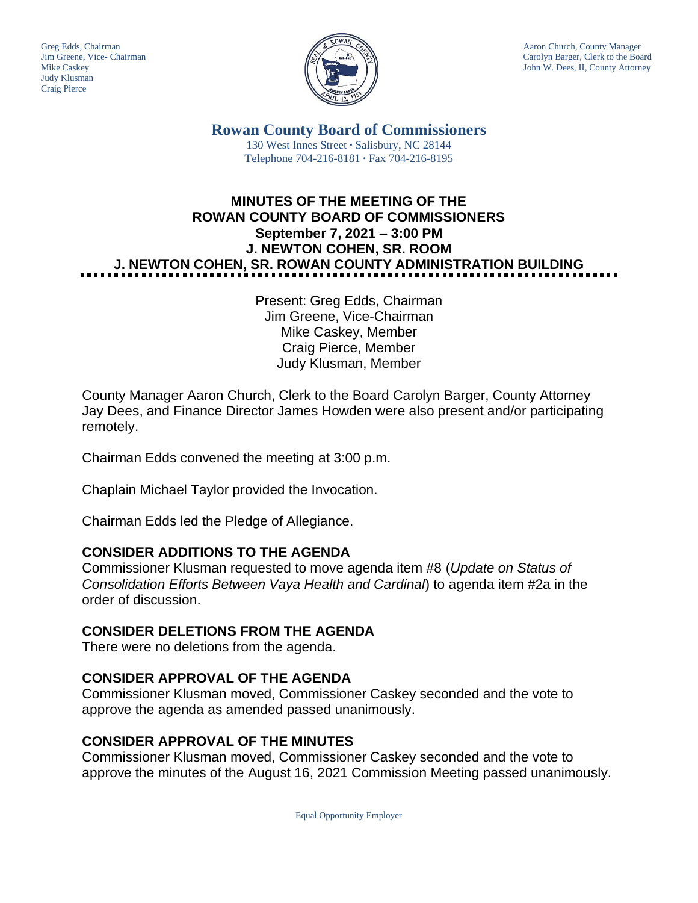Judy Klusman Craig Pierce



Greg Edds, Chairman Aaron Church, County Manager<br>Jim Greene, Vice- Chairman Aaron Church, County Manager<br>Carolyn Barger, Clerk to the Boa Carolyn Barger, Clerk to the Board Mike Caskey John W. Dees, II, County Attorney

> **Rowan County Board of Commissioners** 130 West Innes Street **∙** Salisbury, NC 28144 Telephone 704-216-8181 **∙** Fax 704-216-8195

# **MINUTES OF THE MEETING OF THE ROWAN COUNTY BOARD OF COMMISSIONERS September 7, 2021 – 3:00 PM J. NEWTON COHEN, SR. ROOM J. NEWTON COHEN, SR. ROWAN COUNTY ADMINISTRATION BUILDING**

Present: Greg Edds, Chairman Jim Greene, Vice-Chairman Mike Caskey, Member Craig Pierce, Member Judy Klusman, Member

County Manager Aaron Church, Clerk to the Board Carolyn Barger, County Attorney Jay Dees, and Finance Director James Howden were also present and/or participating remotely.

Chairman Edds convened the meeting at 3:00 p.m.

Chaplain Michael Taylor provided the Invocation.

Chairman Edds led the Pledge of Allegiance.

#### **CONSIDER ADDITIONS TO THE AGENDA**

Commissioner Klusman requested to move agenda item #8 (*Update on Status of Consolidation Efforts Between Vaya Health and Cardinal*) to agenda item #2a in the order of discussion.

#### **CONSIDER DELETIONS FROM THE AGENDA**

There were no deletions from the agenda.

#### **CONSIDER APPROVAL OF THE AGENDA**

Commissioner Klusman moved, Commissioner Caskey seconded and the vote to approve the agenda as amended passed unanimously.

#### **CONSIDER APPROVAL OF THE MINUTES**

Commissioner Klusman moved, Commissioner Caskey seconded and the vote to approve the minutes of the August 16, 2021 Commission Meeting passed unanimously.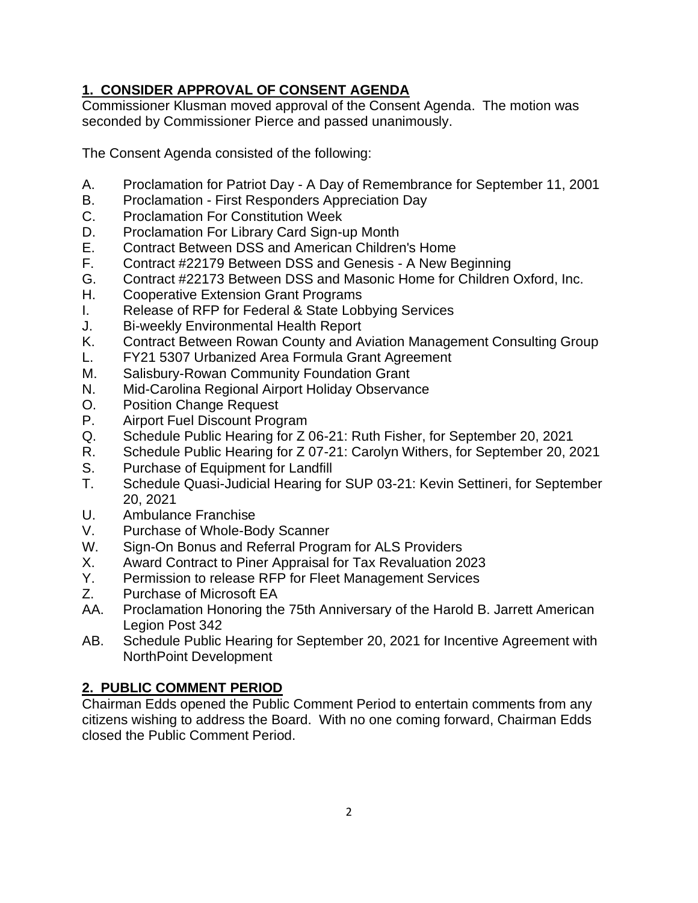# **1. CONSIDER APPROVAL OF CONSENT AGENDA**

Commissioner Klusman moved approval of the Consent Agenda. The motion was seconded by Commissioner Pierce and passed unanimously.

The Consent Agenda consisted of the following:

- A. Proclamation for Patriot Day A Day of Remembrance for September 11, 2001
- B. Proclamation First Responders Appreciation Day
- C. Proclamation For Constitution Week
- D. Proclamation For Library Card Sign-up Month
- E. Contract Between DSS and American Children's Home
- F. Contract #22179 Between DSS and Genesis A New Beginning
- G. Contract #22173 Between DSS and Masonic Home for Children Oxford, Inc.
- H. Cooperative Extension Grant Programs
- I. Release of RFP for Federal & State Lobbying Services
- J. Bi-weekly Environmental Health Report
- K. Contract Between Rowan County and Aviation Management Consulting Group
- L. FY21 5307 Urbanized Area Formula Grant Agreement
- M. Salisbury-Rowan Community Foundation Grant
- N. Mid-Carolina Regional Airport Holiday Observance
- O. Position Change Request
- P. Airport Fuel Discount Program
- Q. Schedule Public Hearing for Z 06-21: Ruth Fisher, for September 20, 2021
- R. Schedule Public Hearing for Z 07-21: Carolyn Withers, for September 20, 2021
- S. Purchase of Equipment for Landfill
- T. Schedule Quasi-Judicial Hearing for SUP 03-21: Kevin Settineri, for September 20, 2021
- U. Ambulance Franchise
- V. Purchase of Whole-Body Scanner
- W. Sign-On Bonus and Referral Program for ALS Providers
- X. Award Contract to Piner Appraisal for Tax Revaluation 2023
- Y. Permission to release RFP for Fleet Management Services
- Z. Purchase of Microsoft EA
- AA. Proclamation Honoring the 75th Anniversary of the Harold B. Jarrett American Legion Post 342
- AB. Schedule Public Hearing for September 20, 2021 for Incentive Agreement with NorthPoint Development

# **2. PUBLIC COMMENT PERIOD**

Chairman Edds opened the Public Comment Period to entertain comments from any citizens wishing to address the Board. With no one coming forward, Chairman Edds closed the Public Comment Period.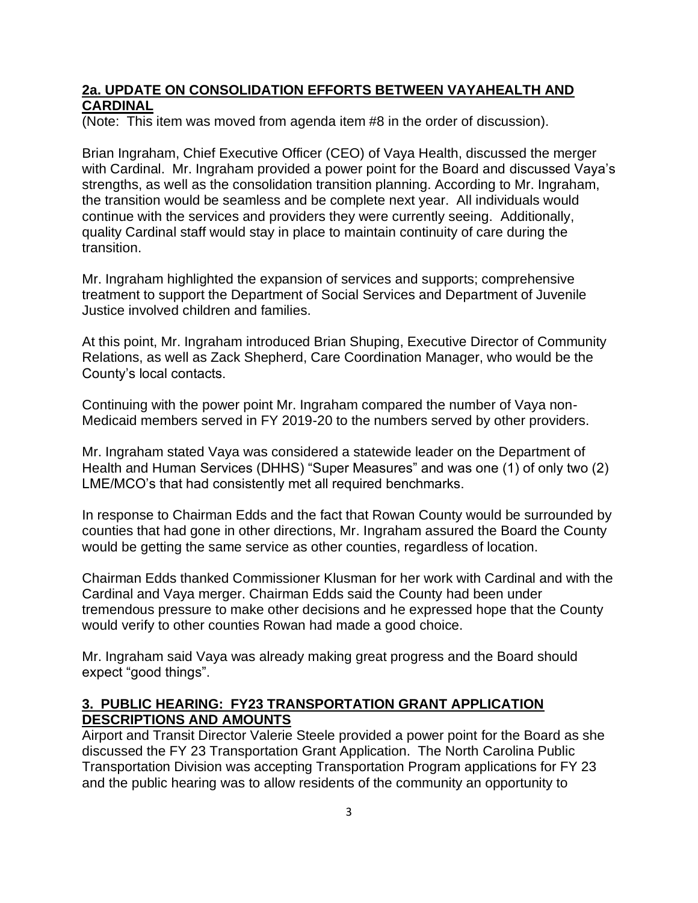#### **2a. UPDATE ON CONSOLIDATION EFFORTS BETWEEN VAYAHEALTH AND CARDINAL**

(Note: This item was moved from agenda item #8 in the order of discussion).

Brian Ingraham, Chief Executive Officer (CEO) of Vaya Health, discussed the merger with Cardinal. Mr. Ingraham provided a power point for the Board and discussed Vaya's strengths, as well as the consolidation transition planning. According to Mr. Ingraham, the transition would be seamless and be complete next year. All individuals would continue with the services and providers they were currently seeing. Additionally, quality Cardinal staff would stay in place to maintain continuity of care during the transition.

Mr. Ingraham highlighted the expansion of services and supports; comprehensive treatment to support the Department of Social Services and Department of Juvenile Justice involved children and families.

At this point, Mr. Ingraham introduced Brian Shuping, Executive Director of Community Relations, as well as Zack Shepherd, Care Coordination Manager, who would be the County's local contacts.

Continuing with the power point Mr. Ingraham compared the number of Vaya non-Medicaid members served in FY 2019-20 to the numbers served by other providers.

Mr. Ingraham stated Vaya was considered a statewide leader on the Department of Health and Human Services (DHHS) "Super Measures" and was one (1) of only two (2) LME/MCO's that had consistently met all required benchmarks.

In response to Chairman Edds and the fact that Rowan County would be surrounded by counties that had gone in other directions, Mr. Ingraham assured the Board the County would be getting the same service as other counties, regardless of location.

Chairman Edds thanked Commissioner Klusman for her work with Cardinal and with the Cardinal and Vaya merger. Chairman Edds said the County had been under tremendous pressure to make other decisions and he expressed hope that the County would verify to other counties Rowan had made a good choice.

Mr. Ingraham said Vaya was already making great progress and the Board should expect "good things".

## **3. PUBLIC HEARING: FY23 TRANSPORTATION GRANT APPLICATION DESCRIPTIONS AND AMOUNTS**

Airport and Transit Director Valerie Steele provided a power point for the Board as she discussed the FY 23 Transportation Grant Application. The North Carolina Public Transportation Division was accepting Transportation Program applications for FY 23 and the public hearing was to allow residents of the community an opportunity to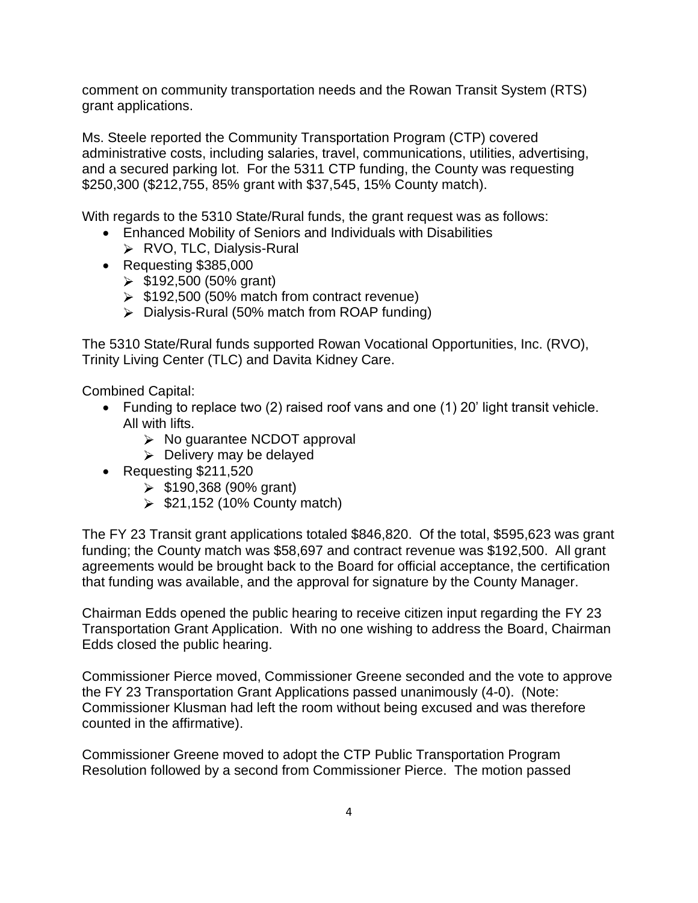comment on community transportation needs and the Rowan Transit System (RTS) grant applications.

Ms. Steele reported the Community Transportation Program (CTP) covered administrative costs, including salaries, travel, communications, utilities, advertising, and a secured parking lot. For the 5311 CTP funding, the County was requesting \$250,300 (\$212,755, 85% grant with \$37,545, 15% County match).

With regards to the 5310 State/Rural funds, the grant request was as follows:

- Enhanced Mobility of Seniors and Individuals with Disabilities
	- ▶ RVO, TLC, Dialysis-Rural
- Requesting \$385,000
	- $\geq$  \$192,500 (50% grant)
	- $\geq$  \$192,500 (50% match from contract revenue)
	- $\triangleright$  Dialysis-Rural (50% match from ROAP funding)

The 5310 State/Rural funds supported Rowan Vocational Opportunities, Inc. (RVO), Trinity Living Center (TLC) and Davita Kidney Care.

Combined Capital:

- Funding to replace two (2) raised roof vans and one (1) 20' light transit vehicle. All with lifts.
	- > No guarantee NCDOT approval
	- $\triangleright$  Delivery may be delayed
- Requesting \$211,520
	- $\geq$  \$190,368 (90% grant)
	- $\geq$  \$21,152 (10% County match)

The FY 23 Transit grant applications totaled \$846,820. Of the total, \$595,623 was grant funding; the County match was \$58,697 and contract revenue was \$192,500. All grant agreements would be brought back to the Board for official acceptance, the certification that funding was available, and the approval for signature by the County Manager.

Chairman Edds opened the public hearing to receive citizen input regarding the FY 23 Transportation Grant Application. With no one wishing to address the Board, Chairman Edds closed the public hearing.

Commissioner Pierce moved, Commissioner Greene seconded and the vote to approve the FY 23 Transportation Grant Applications passed unanimously (4-0). (Note: Commissioner Klusman had left the room without being excused and was therefore counted in the affirmative).

Commissioner Greene moved to adopt the CTP Public Transportation Program Resolution followed by a second from Commissioner Pierce. The motion passed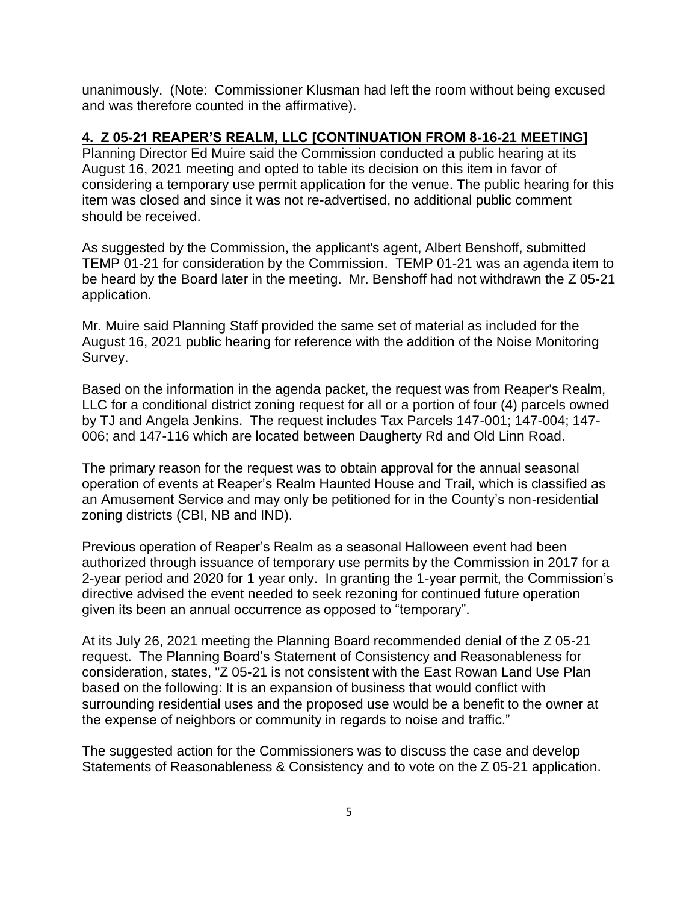unanimously. (Note: Commissioner Klusman had left the room without being excused and was therefore counted in the affirmative).

#### **4. Z 05-21 REAPER'S REALM, LLC [CONTINUATION FROM 8-16-21 MEETING]**

Planning Director Ed Muire said the Commission conducted a public hearing at its August 16, 2021 meeting and opted to table its decision on this item in favor of considering a temporary use permit application for the venue. The public hearing for this item was closed and since it was not re-advertised, no additional public comment should be received.

As suggested by the Commission, the applicant's agent, Albert Benshoff, submitted TEMP 01-21 for consideration by the Commission. TEMP 01-21 was an agenda item to be heard by the Board later in the meeting. Mr. Benshoff had not withdrawn the Z 05-21 application.

Mr. Muire said Planning Staff provided the same set of material as included for the August 16, 2021 public hearing for reference with the addition of the Noise Monitoring Survey.

Based on the information in the agenda packet, the request was from Reaper's Realm, LLC for a conditional district zoning request for all or a portion of four (4) parcels owned by TJ and Angela Jenkins. The request includes Tax Parcels 147-001; 147-004; 147- 006; and 147-116 which are located between Daugherty Rd and Old Linn Road.

The primary reason for the request was to obtain approval for the annual seasonal operation of events at Reaper's Realm Haunted House and Trail, which is classified as an Amusement Service and may only be petitioned for in the County's non-residential zoning districts (CBI, NB and IND).

Previous operation of Reaper's Realm as a seasonal Halloween event had been authorized through issuance of temporary use permits by the Commission in 2017 for a 2-year period and 2020 for 1 year only. In granting the 1-year permit, the Commission's directive advised the event needed to seek rezoning for continued future operation given its been an annual occurrence as opposed to "temporary".

At its July 26, 2021 meeting the Planning Board recommended denial of the Z 05-21 request. The Planning Board's Statement of Consistency and Reasonableness for consideration, states, "Z 05-21 is not consistent with the East Rowan Land Use Plan based on the following: It is an expansion of business that would conflict with surrounding residential uses and the proposed use would be a benefit to the owner at the expense of neighbors or community in regards to noise and traffic."

The suggested action for the Commissioners was to discuss the case and develop Statements of Reasonableness & Consistency and to vote on the Z 05-21 application.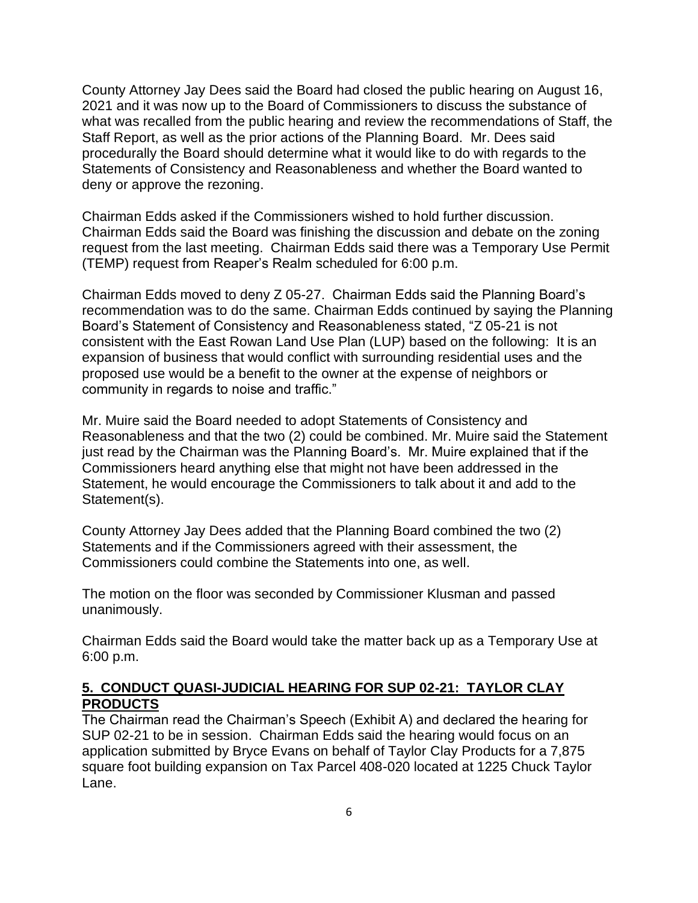County Attorney Jay Dees said the Board had closed the public hearing on August 16, 2021 and it was now up to the Board of Commissioners to discuss the substance of what was recalled from the public hearing and review the recommendations of Staff, the Staff Report, as well as the prior actions of the Planning Board. Mr. Dees said procedurally the Board should determine what it would like to do with regards to the Statements of Consistency and Reasonableness and whether the Board wanted to deny or approve the rezoning.

Chairman Edds asked if the Commissioners wished to hold further discussion. Chairman Edds said the Board was finishing the discussion and debate on the zoning request from the last meeting. Chairman Edds said there was a Temporary Use Permit (TEMP) request from Reaper's Realm scheduled for 6:00 p.m.

Chairman Edds moved to deny Z 05-27. Chairman Edds said the Planning Board's recommendation was to do the same. Chairman Edds continued by saying the Planning Board's Statement of Consistency and Reasonableness stated, "Z 05-21 is not consistent with the East Rowan Land Use Plan (LUP) based on the following: It is an expansion of business that would conflict with surrounding residential uses and the proposed use would be a benefit to the owner at the expense of neighbors or community in regards to noise and traffic."

Mr. Muire said the Board needed to adopt Statements of Consistency and Reasonableness and that the two (2) could be combined. Mr. Muire said the Statement just read by the Chairman was the Planning Board's. Mr. Muire explained that if the Commissioners heard anything else that might not have been addressed in the Statement, he would encourage the Commissioners to talk about it and add to the Statement(s).

County Attorney Jay Dees added that the Planning Board combined the two (2) Statements and if the Commissioners agreed with their assessment, the Commissioners could combine the Statements into one, as well.

The motion on the floor was seconded by Commissioner Klusman and passed unanimously.

Chairman Edds said the Board would take the matter back up as a Temporary Use at 6:00 p.m.

#### **5. CONDUCT QUASI-JUDICIAL HEARING FOR SUP 02-21: TAYLOR CLAY PRODUCTS**

The Chairman read the Chairman's Speech (Exhibit A) and declared the hearing for SUP 02-21 to be in session. Chairman Edds said the hearing would focus on an application submitted by Bryce Evans on behalf of Taylor Clay Products for a 7,875 square foot building expansion on Tax Parcel 408-020 located at 1225 Chuck Taylor Lane.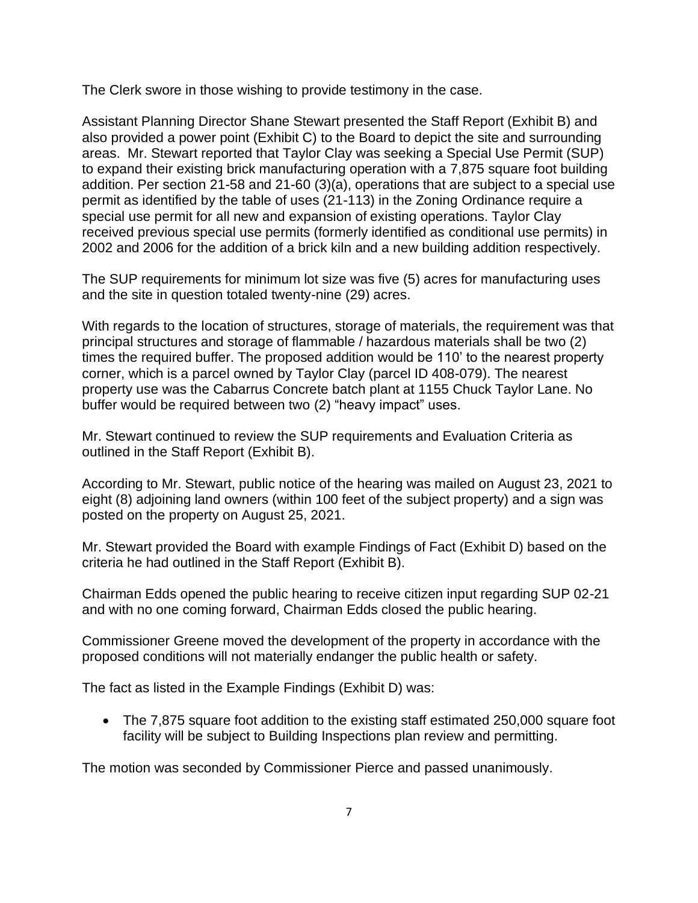The Clerk swore in those wishing to provide testimony in the case.

Assistant Planning Director Shane Stewart presented the Staff Report (Exhibit B) and also provided a power point (Exhibit C) to the Board to depict the site and surrounding areas. Mr. Stewart reported that Taylor Clay was seeking a Special Use Permit (SUP) to expand their existing brick manufacturing operation with a 7,875 square foot building addition. Per section 21-58 and 21-60 (3)(a), operations that are subject to a special use permit as identified by the table of uses (21-113) in the Zoning Ordinance require a special use permit for all new and expansion of existing operations. Taylor Clay received previous special use permits (formerly identified as conditional use permits) in 2002 and 2006 for the addition of a brick kiln and a new building addition respectively.

The SUP requirements for minimum lot size was five (5) acres for manufacturing uses and the site in question totaled twenty-nine (29) acres.

With regards to the location of structures, storage of materials, the requirement was that principal structures and storage of flammable / hazardous materials shall be two (2) times the required buffer. The proposed addition would be 110' to the nearest property corner, which is a parcel owned by Taylor Clay (parcel ID 408-079). The nearest property use was the Cabarrus Concrete batch plant at 1155 Chuck Taylor Lane. No buffer would be required between two (2) "heavy impact" uses.

Mr. Stewart continued to review the SUP requirements and Evaluation Criteria as outlined in the Staff Report (Exhibit B).

According to Mr. Stewart, public notice of the hearing was mailed on August 23, 2021 to eight (8) adjoining land owners (within 100 feet of the subject property) and a sign was posted on the property on August 25, 2021.

Mr. Stewart provided the Board with example Findings of Fact (Exhibit D) based on the criteria he had outlined in the Staff Report (Exhibit B).

Chairman Edds opened the public hearing to receive citizen input regarding SUP 02-21 and with no one coming forward, Chairman Edds closed the public hearing.

Commissioner Greene moved the development of the property in accordance with the proposed conditions will not materially endanger the public health or safety.

The fact as listed in the Example Findings (Exhibit D) was:

• The 7,875 square foot addition to the existing staff estimated 250,000 square foot facility will be subject to Building Inspections plan review and permitting.

The motion was seconded by Commissioner Pierce and passed unanimously.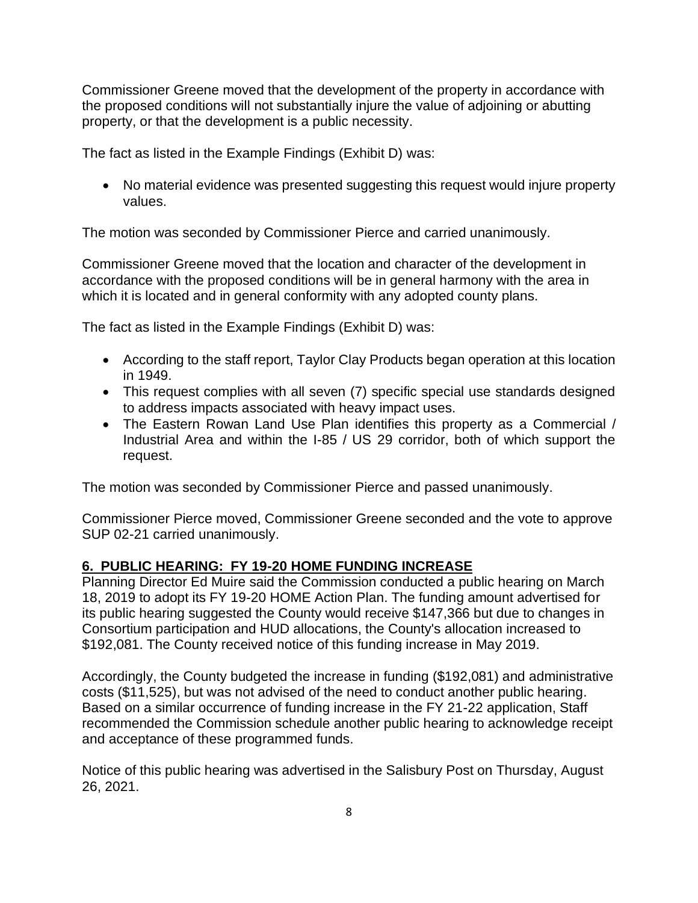Commissioner Greene moved that the development of the property in accordance with the proposed conditions will not substantially injure the value of adjoining or abutting property, or that the development is a public necessity.

The fact as listed in the Example Findings (Exhibit D) was:

• No material evidence was presented suggesting this request would injure property values.

The motion was seconded by Commissioner Pierce and carried unanimously.

Commissioner Greene moved that the location and character of the development in accordance with the proposed conditions will be in general harmony with the area in which it is located and in general conformity with any adopted county plans.

The fact as listed in the Example Findings (Exhibit D) was:

- According to the staff report, Taylor Clay Products began operation at this location in 1949.
- This request complies with all seven (7) specific special use standards designed to address impacts associated with heavy impact uses.
- The Eastern Rowan Land Use Plan identifies this property as a Commercial / Industrial Area and within the I-85 / US 29 corridor, both of which support the request.

The motion was seconded by Commissioner Pierce and passed unanimously.

Commissioner Pierce moved, Commissioner Greene seconded and the vote to approve SUP 02-21 carried unanimously.

## **6. PUBLIC HEARING: FY 19-20 HOME FUNDING INCREASE**

Planning Director Ed Muire said the Commission conducted a public hearing on March 18, 2019 to adopt its FY 19-20 HOME Action Plan. The funding amount advertised for its public hearing suggested the County would receive \$147,366 but due to changes in Consortium participation and HUD allocations, the County's allocation increased to \$192,081. The County received notice of this funding increase in May 2019.

Accordingly, the County budgeted the increase in funding (\$192,081) and administrative costs (\$11,525), but was not advised of the need to conduct another public hearing. Based on a similar occurrence of funding increase in the FY 21-22 application, Staff recommended the Commission schedule another public hearing to acknowledge receipt and acceptance of these programmed funds.

Notice of this public hearing was advertised in the Salisbury Post on Thursday, August 26, 2021.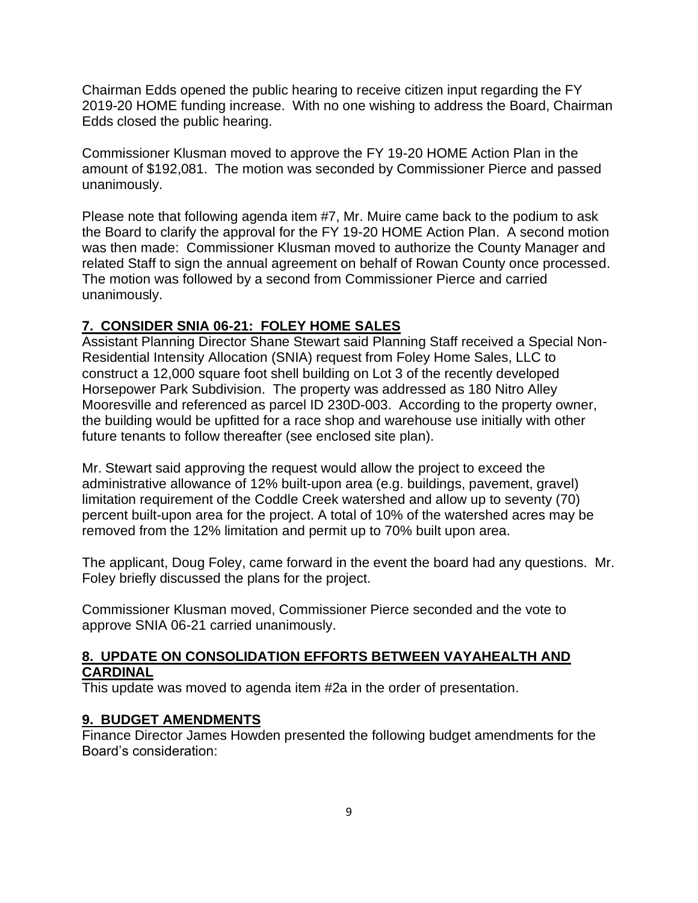Chairman Edds opened the public hearing to receive citizen input regarding the FY 2019-20 HOME funding increase. With no one wishing to address the Board, Chairman Edds closed the public hearing.

Commissioner Klusman moved to approve the FY 19-20 HOME Action Plan in the amount of \$192,081. The motion was seconded by Commissioner Pierce and passed unanimously.

Please note that following agenda item #7, Mr. Muire came back to the podium to ask the Board to clarify the approval for the FY 19-20 HOME Action Plan. A second motion was then made: Commissioner Klusman moved to authorize the County Manager and related Staff to sign the annual agreement on behalf of Rowan County once processed. The motion was followed by a second from Commissioner Pierce and carried unanimously.

#### **7. CONSIDER SNIA 06-21: FOLEY HOME SALES**

Assistant Planning Director Shane Stewart said Planning Staff received a Special Non-Residential Intensity Allocation (SNIA) request from Foley Home Sales, LLC to construct a 12,000 square foot shell building on Lot 3 of the recently developed Horsepower Park Subdivision. The property was addressed as 180 Nitro Alley Mooresville and referenced as parcel ID 230D-003. According to the property owner, the building would be upfitted for a race shop and warehouse use initially with other future tenants to follow thereafter (see enclosed site plan).

Mr. Stewart said approving the request would allow the project to exceed the administrative allowance of 12% built-upon area (e.g. buildings, pavement, gravel) limitation requirement of the Coddle Creek watershed and allow up to seventy (70) percent built-upon area for the project. A total of 10% of the watershed acres may be removed from the 12% limitation and permit up to 70% built upon area.

The applicant, Doug Foley, came forward in the event the board had any questions. Mr. Foley briefly discussed the plans for the project.

Commissioner Klusman moved, Commissioner Pierce seconded and the vote to approve SNIA 06-21 carried unanimously.

#### **8. UPDATE ON CONSOLIDATION EFFORTS BETWEEN VAYAHEALTH AND CARDINAL**

This update was moved to agenda item #2a in the order of presentation.

#### **9. BUDGET AMENDMENTS**

Finance Director James Howden presented the following budget amendments for the Board's consideration: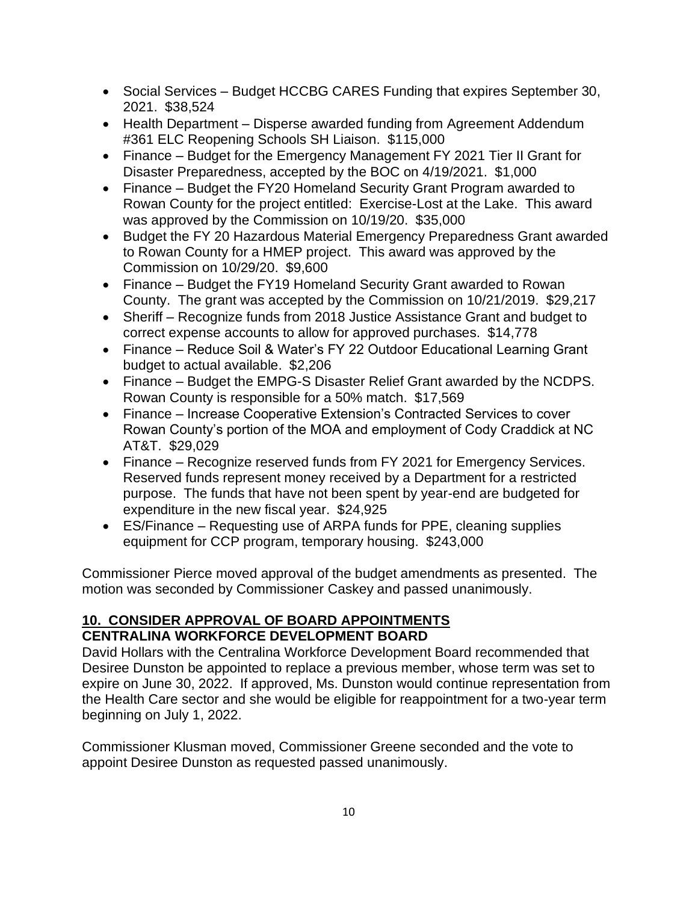- Social Services Budget HCCBG CARES Funding that expires September 30, 2021. \$38,524
- Health Department Disperse awarded funding from Agreement Addendum #361 ELC Reopening Schools SH Liaison. \$115,000
- Finance Budget for the Emergency Management FY 2021 Tier II Grant for Disaster Preparedness, accepted by the BOC on 4/19/2021. \$1,000
- Finance Budget the FY20 Homeland Security Grant Program awarded to Rowan County for the project entitled: Exercise-Lost at the Lake. This award was approved by the Commission on 10/19/20. \$35,000
- Budget the FY 20 Hazardous Material Emergency Preparedness Grant awarded to Rowan County for a HMEP project. This award was approved by the Commission on 10/29/20. \$9,600
- Finance Budget the FY19 Homeland Security Grant awarded to Rowan County. The grant was accepted by the Commission on 10/21/2019. \$29,217
- Sheriff Recognize funds from 2018 Justice Assistance Grant and budget to correct expense accounts to allow for approved purchases. \$14,778
- Finance Reduce Soil & Water's FY 22 Outdoor Educational Learning Grant budget to actual available. \$2,206
- Finance Budget the EMPG-S Disaster Relief Grant awarded by the NCDPS. Rowan County is responsible for a 50% match. \$17,569
- Finance Increase Cooperative Extension's Contracted Services to cover Rowan County's portion of the MOA and employment of Cody Craddick at NC AT&T. \$29,029
- Finance Recognize reserved funds from FY 2021 for Emergency Services. Reserved funds represent money received by a Department for a restricted purpose. The funds that have not been spent by year-end are budgeted for expenditure in the new fiscal year. \$24,925
- ES/Finance Requesting use of ARPA funds for PPE, cleaning supplies equipment for CCP program, temporary housing. \$243,000

Commissioner Pierce moved approval of the budget amendments as presented. The motion was seconded by Commissioner Caskey and passed unanimously.

## **10. CONSIDER APPROVAL OF BOARD APPOINTMENTS CENTRALINA WORKFORCE DEVELOPMENT BOARD**

David Hollars with the Centralina Workforce Development Board recommended that Desiree Dunston be appointed to replace a previous member, whose term was set to expire on June 30, 2022. If approved, Ms. Dunston would continue representation from the Health Care sector and she would be eligible for reappointment for a two-year term beginning on July 1, 2022.

Commissioner Klusman moved, Commissioner Greene seconded and the vote to appoint Desiree Dunston as requested passed unanimously.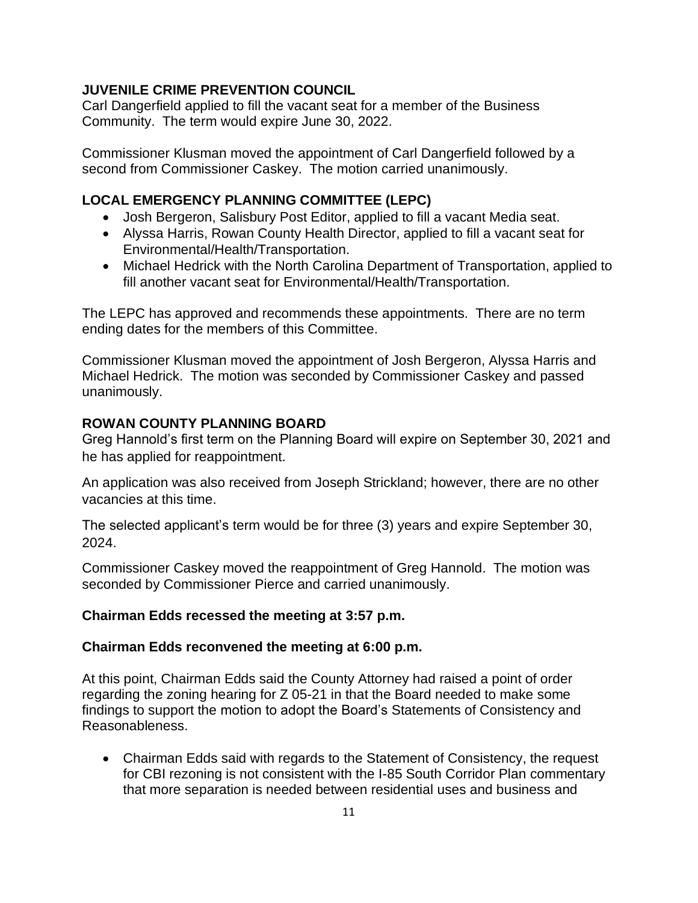#### **JUVENILE CRIME PREVENTION COUNCIL**

Carl Dangerfield applied to fill the vacant seat for a member of the Business Community. The term would expire June 30, 2022.

Commissioner Klusman moved the appointment of Carl Dangerfield followed by a second from Commissioner Caskey. The motion carried unanimously.

## **LOCAL EMERGENCY PLANNING COMMITTEE (LEPC)**

- Josh Bergeron, Salisbury Post Editor, applied to fill a vacant Media seat.
- Alyssa Harris, Rowan County Health Director, applied to fill a vacant seat for Environmental/Health/Transportation.
- Michael Hedrick with the North Carolina Department of Transportation, applied to fill another vacant seat for Environmental/Health/Transportation.

The LEPC has approved and recommends these appointments. There are no term ending dates for the members of this Committee.

Commissioner Klusman moved the appointment of Josh Bergeron, Alyssa Harris and Michael Hedrick. The motion was seconded by Commissioner Caskey and passed unanimously.

## **ROWAN COUNTY PLANNING BOARD**

Greg Hannold's first term on the Planning Board will expire on September 30, 2021 and he has applied for reappointment.

An application was also received from Joseph Strickland; however, there are no other vacancies at this time.

The selected applicant's term would be for three (3) years and expire September 30, 2024.

Commissioner Caskey moved the reappointment of Greg Hannold. The motion was seconded by Commissioner Pierce and carried unanimously.

## **Chairman Edds recessed the meeting at 3:57 p.m.**

## **Chairman Edds reconvened the meeting at 6:00 p.m.**

At this point, Chairman Edds said the County Attorney had raised a point of order regarding the zoning hearing for Z 05-21 in that the Board needed to make some findings to support the motion to adopt the Board's Statements of Consistency and Reasonableness.

• Chairman Edds said with regards to the Statement of Consistency, the request for CBI rezoning is not consistent with the I-85 South Corridor Plan commentary that more separation is needed between residential uses and business and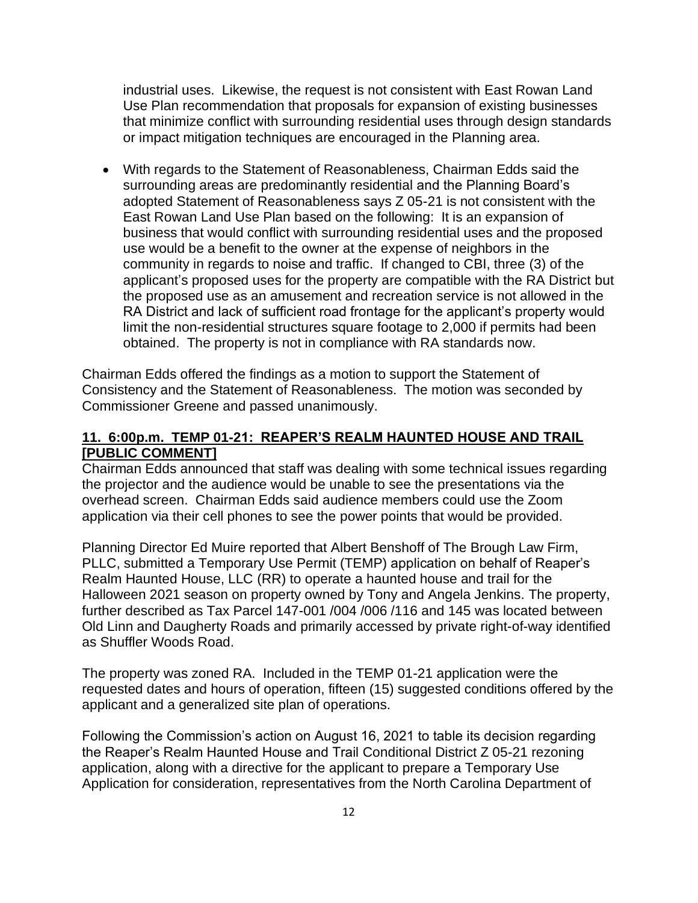industrial uses. Likewise, the request is not consistent with East Rowan Land Use Plan recommendation that proposals for expansion of existing businesses that minimize conflict with surrounding residential uses through design standards or impact mitigation techniques are encouraged in the Planning area.

• With regards to the Statement of Reasonableness, Chairman Edds said the surrounding areas are predominantly residential and the Planning Board's adopted Statement of Reasonableness says Z 05-21 is not consistent with the East Rowan Land Use Plan based on the following: It is an expansion of business that would conflict with surrounding residential uses and the proposed use would be a benefit to the owner at the expense of neighbors in the community in regards to noise and traffic. If changed to CBI, three (3) of the applicant's proposed uses for the property are compatible with the RA District but the proposed use as an amusement and recreation service is not allowed in the RA District and lack of sufficient road frontage for the applicant's property would limit the non-residential structures square footage to 2,000 if permits had been obtained. The property is not in compliance with RA standards now.

Chairman Edds offered the findings as a motion to support the Statement of Consistency and the Statement of Reasonableness. The motion was seconded by Commissioner Greene and passed unanimously.

#### **11. 6:00p.m. TEMP 01-21: REAPER'S REALM HAUNTED HOUSE AND TRAIL [PUBLIC COMMENT]**

Chairman Edds announced that staff was dealing with some technical issues regarding the projector and the audience would be unable to see the presentations via the overhead screen. Chairman Edds said audience members could use the Zoom application via their cell phones to see the power points that would be provided.

Planning Director Ed Muire reported that Albert Benshoff of The Brough Law Firm, PLLC, submitted a Temporary Use Permit (TEMP) application on behalf of Reaper's Realm Haunted House, LLC (RR) to operate a haunted house and trail for the Halloween 2021 season on property owned by Tony and Angela Jenkins. The property, further described as Tax Parcel 147-001 /004 /006 /116 and 145 was located between Old Linn and Daugherty Roads and primarily accessed by private right-of-way identified as Shuffler Woods Road.

The property was zoned RA. Included in the TEMP 01-21 application were the requested dates and hours of operation, fifteen (15) suggested conditions offered by the applicant and a generalized site plan of operations.

Following the Commission's action on August 16, 2021 to table its decision regarding the Reaper's Realm Haunted House and Trail Conditional District Z 05-21 rezoning application, along with a directive for the applicant to prepare a Temporary Use Application for consideration, representatives from the North Carolina Department of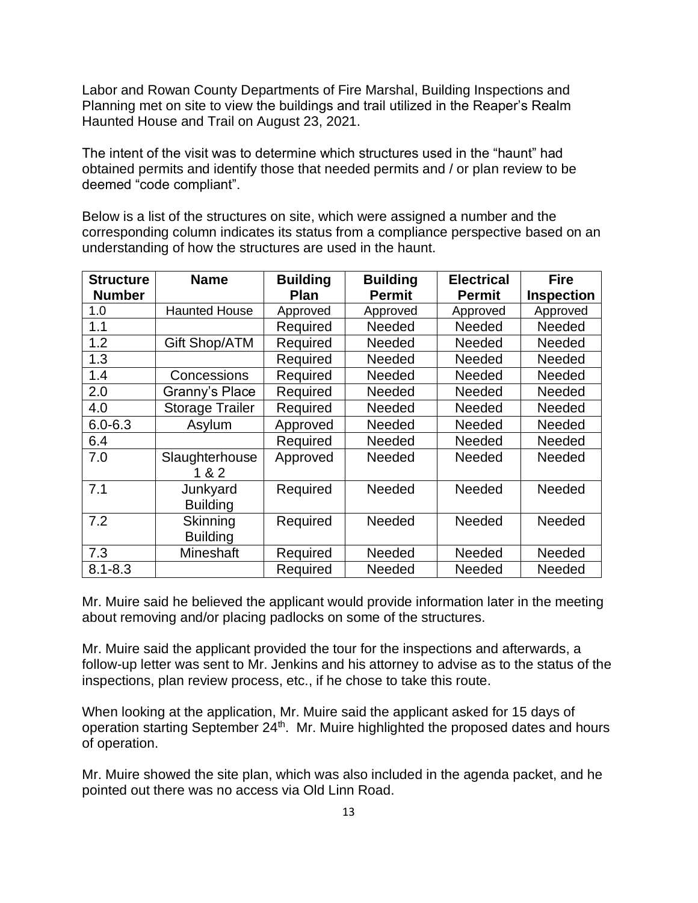Labor and Rowan County Departments of Fire Marshal, Building Inspections and Planning met on site to view the buildings and trail utilized in the Reaper's Realm Haunted House and Trail on August 23, 2021.

The intent of the visit was to determine which structures used in the "haunt" had obtained permits and identify those that needed permits and / or plan review to be deemed "code compliant".

Below is a list of the structures on site, which were assigned a number and the corresponding column indicates its status from a compliance perspective based on an understanding of how the structures are used in the haunt.

| <b>Structure</b> | <b>Name</b>            | <b>Building</b> | <b>Building</b> | <b>Electrical</b> | <b>Fire</b>       |
|------------------|------------------------|-----------------|-----------------|-------------------|-------------------|
| <b>Number</b>    |                        | <b>Plan</b>     | <b>Permit</b>   | <b>Permit</b>     | <b>Inspection</b> |
| 1.0              | <b>Haunted House</b>   | Approved        | Approved        | Approved          | Approved          |
| 1.1              |                        | Required        | Needed          | <b>Needed</b>     | Needed            |
| 1.2              | Gift Shop/ATM          | Required        | Needed          | <b>Needed</b>     | <b>Needed</b>     |
| 1.3              |                        | Required        | Needed          | <b>Needed</b>     | Needed            |
| 1.4              | Concessions            | Required        | Needed          | <b>Needed</b>     | Needed            |
| 2.0              | Granny's Place         | Required        | Needed          | <b>Needed</b>     | Needed            |
| 4.0              | <b>Storage Trailer</b> | Required        | Needed          | <b>Needed</b>     | Needed            |
| $6.0 - 6.3$      | Asylum                 | Approved        | Needed          | Needed            | Needed            |
| 6.4              |                        | Required        | Needed          | Needed            | Needed            |
| 7.0              | Slaughterhouse         | Approved        | Needed          | Needed            | Needed            |
|                  | 1 & 2                  |                 |                 |                   |                   |
| 7.1              | Junkyard               | Required        | Needed          | Needed            | Needed            |
|                  | <b>Building</b>        |                 |                 |                   |                   |
| 7.2              | Skinning               | Required        | Needed          | Needed            | Needed            |
|                  | <b>Building</b>        |                 |                 |                   |                   |
| 7.3              | Mineshaft              | Required        | Needed          | <b>Needed</b>     | <b>Needed</b>     |
| $8.1 - 8.3$      |                        | Required        | Needed          | Needed            | Needed            |

Mr. Muire said he believed the applicant would provide information later in the meeting about removing and/or placing padlocks on some of the structures.

Mr. Muire said the applicant provided the tour for the inspections and afterwards, a follow-up letter was sent to Mr. Jenkins and his attorney to advise as to the status of the inspections, plan review process, etc., if he chose to take this route.

When looking at the application, Mr. Muire said the applicant asked for 15 days of operation starting September  $24<sup>th</sup>$ . Mr. Muire highlighted the proposed dates and hours of operation.

Mr. Muire showed the site plan, which was also included in the agenda packet, and he pointed out there was no access via Old Linn Road.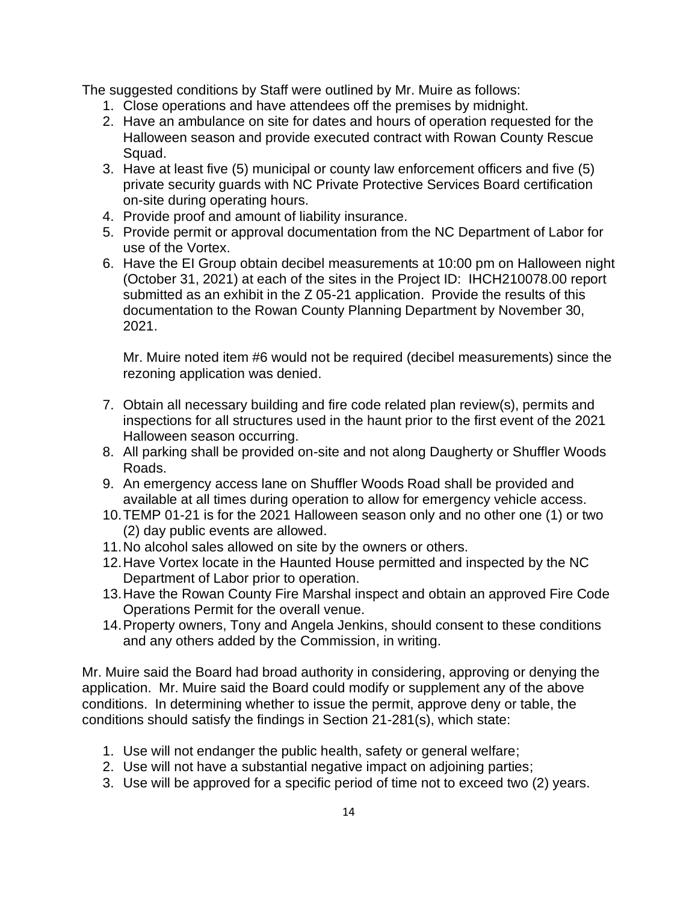The suggested conditions by Staff were outlined by Mr. Muire as follows:

- 1. Close operations and have attendees off the premises by midnight.
- 2. Have an ambulance on site for dates and hours of operation requested for the Halloween season and provide executed contract with Rowan County Rescue Squad.
- 3. Have at least five (5) municipal or county law enforcement officers and five (5) private security guards with NC Private Protective Services Board certification on-site during operating hours.
- 4. Provide proof and amount of liability insurance.
- 5. Provide permit or approval documentation from the NC Department of Labor for use of the Vortex.
- 6. Have the EI Group obtain decibel measurements at 10:00 pm on Halloween night (October 31, 2021) at each of the sites in the Project ID: IHCH210078.00 report submitted as an exhibit in the Z 05-21 application. Provide the results of this documentation to the Rowan County Planning Department by November 30, 2021.

Mr. Muire noted item #6 would not be required (decibel measurements) since the rezoning application was denied.

- 7. Obtain all necessary building and fire code related plan review(s), permits and inspections for all structures used in the haunt prior to the first event of the 2021 Halloween season occurring.
- 8. All parking shall be provided on-site and not along Daugherty or Shuffler Woods Roads.
- 9. An emergency access lane on Shuffler Woods Road shall be provided and available at all times during operation to allow for emergency vehicle access.
- 10.TEMP 01-21 is for the 2021 Halloween season only and no other one (1) or two (2) day public events are allowed.
- 11.No alcohol sales allowed on site by the owners or others.
- 12.Have Vortex locate in the Haunted House permitted and inspected by the NC Department of Labor prior to operation.
- 13.Have the Rowan County Fire Marshal inspect and obtain an approved Fire Code Operations Permit for the overall venue.
- 14.Property owners, Tony and Angela Jenkins, should consent to these conditions and any others added by the Commission, in writing.

Mr. Muire said the Board had broad authority in considering, approving or denying the application. Mr. Muire said the Board could modify or supplement any of the above conditions. In determining whether to issue the permit, approve deny or table, the conditions should satisfy the findings in Section 21-281(s), which state:

- 1. Use will not endanger the public health, safety or general welfare;
- 2. Use will not have a substantial negative impact on adjoining parties;
- 3. Use will be approved for a specific period of time not to exceed two (2) years.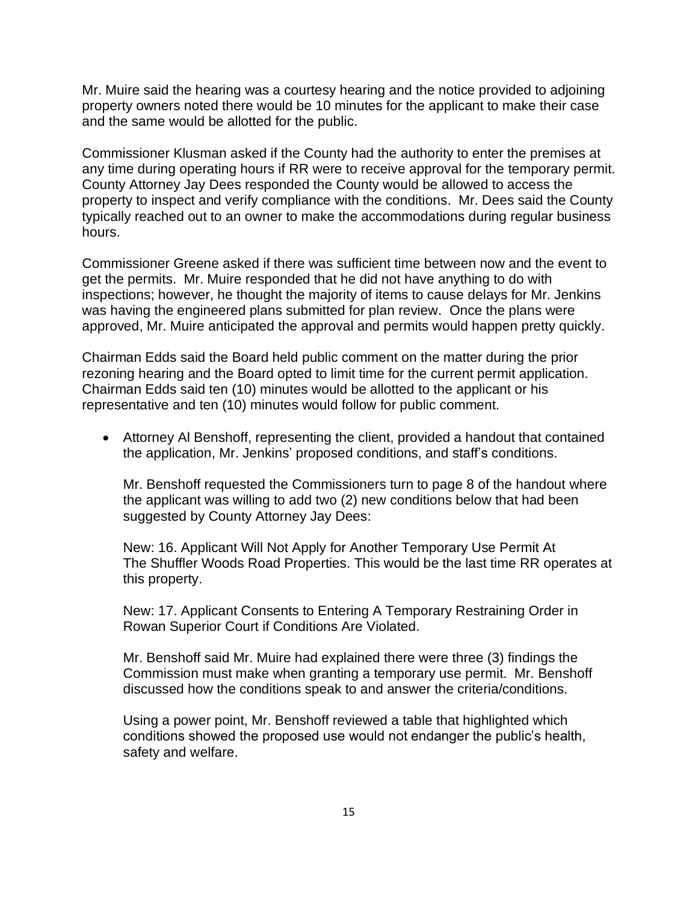Mr. Muire said the hearing was a courtesy hearing and the notice provided to adjoining property owners noted there would be 10 minutes for the applicant to make their case and the same would be allotted for the public.

Commissioner Klusman asked if the County had the authority to enter the premises at any time during operating hours if RR were to receive approval for the temporary permit. County Attorney Jay Dees responded the County would be allowed to access the property to inspect and verify compliance with the conditions. Mr. Dees said the County typically reached out to an owner to make the accommodations during regular business hours.

Commissioner Greene asked if there was sufficient time between now and the event to get the permits. Mr. Muire responded that he did not have anything to do with inspections; however, he thought the majority of items to cause delays for Mr. Jenkins was having the engineered plans submitted for plan review. Once the plans were approved, Mr. Muire anticipated the approval and permits would happen pretty quickly.

Chairman Edds said the Board held public comment on the matter during the prior rezoning hearing and the Board opted to limit time for the current permit application. Chairman Edds said ten (10) minutes would be allotted to the applicant or his representative and ten (10) minutes would follow for public comment.

• Attorney Al Benshoff, representing the client, provided a handout that contained the application, Mr. Jenkins' proposed conditions, and staff's conditions.

Mr. Benshoff requested the Commissioners turn to page 8 of the handout where the applicant was willing to add two (2) new conditions below that had been suggested by County Attorney Jay Dees:

New: 16. Applicant Will Not Apply for Another Temporary Use Permit At The Shuffler Woods Road Properties. This would be the last time RR operates at this property.

New: 17. Applicant Consents to Entering A Temporary Restraining Order in Rowan Superior Court if Conditions Are Violated.

Mr. Benshoff said Mr. Muire had explained there were three (3) findings the Commission must make when granting a temporary use permit. Mr. Benshoff discussed how the conditions speak to and answer the criteria/conditions.

Using a power point, Mr. Benshoff reviewed a table that highlighted which conditions showed the proposed use would not endanger the public's health, safety and welfare.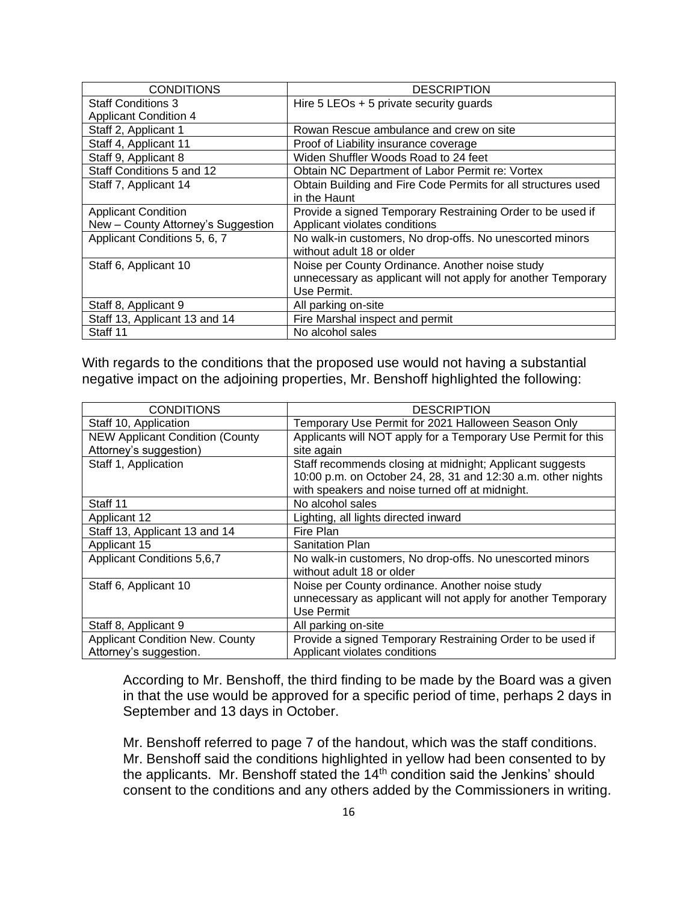| <b>CONDITIONS</b>                  | <b>DESCRIPTION</b>                                            |  |  |
|------------------------------------|---------------------------------------------------------------|--|--|
| <b>Staff Conditions 3</b>          | Hire 5 LEOs + 5 private security guards                       |  |  |
| <b>Applicant Condition 4</b>       |                                                               |  |  |
| Staff 2, Applicant 1               | Rowan Rescue ambulance and crew on site                       |  |  |
| Staff 4, Applicant 11              | Proof of Liability insurance coverage                         |  |  |
| Staff 9, Applicant 8               | Widen Shuffler Woods Road to 24 feet                          |  |  |
| Staff Conditions 5 and 12          | Obtain NC Department of Labor Permit re: Vortex               |  |  |
| Staff 7, Applicant 14              | Obtain Building and Fire Code Permits for all structures used |  |  |
|                                    | in the Haunt                                                  |  |  |
| <b>Applicant Condition</b>         | Provide a signed Temporary Restraining Order to be used if    |  |  |
| New - County Attorney's Suggestion | Applicant violates conditions                                 |  |  |
| Applicant Conditions 5, 6, 7       | No walk-in customers, No drop-offs. No unescorted minors      |  |  |
|                                    | without adult 18 or older                                     |  |  |
| Staff 6, Applicant 10              | Noise per County Ordinance. Another noise study               |  |  |
|                                    | unnecessary as applicant will not apply for another Temporary |  |  |
|                                    | Use Permit.                                                   |  |  |
| Staff 8, Applicant 9               | All parking on-site                                           |  |  |
| Staff 13, Applicant 13 and 14      | Fire Marshal inspect and permit                               |  |  |
| Staff 11                           | No alcohol sales                                              |  |  |

With regards to the conditions that the proposed use would not having a substantial negative impact on the adjoining properties, Mr. Benshoff highlighted the following:

| <b>CONDITIONS</b>                      | <b>DESCRIPTION</b>                                            |  |  |
|----------------------------------------|---------------------------------------------------------------|--|--|
| Staff 10, Application                  | Temporary Use Permit for 2021 Halloween Season Only           |  |  |
| <b>NEW Applicant Condition (County</b> | Applicants will NOT apply for a Temporary Use Permit for this |  |  |
| Attorney's suggestion)                 | site again                                                    |  |  |
| Staff 1, Application                   | Staff recommends closing at midnight; Applicant suggests      |  |  |
|                                        | 10:00 p.m. on October 24, 28, 31 and 12:30 a.m. other nights  |  |  |
|                                        | with speakers and noise turned off at midnight.               |  |  |
| Staff 11                               | No alcohol sales                                              |  |  |
| Applicant 12                           | Lighting, all lights directed inward                          |  |  |
| Staff 13, Applicant 13 and 14          | Fire Plan                                                     |  |  |
| Applicant 15                           | <b>Sanitation Plan</b>                                        |  |  |
| Applicant Conditions 5,6,7             | No walk-in customers, No drop-offs. No unescorted minors      |  |  |
|                                        | without adult 18 or older                                     |  |  |
| Staff 6, Applicant 10                  | Noise per County ordinance. Another noise study               |  |  |
|                                        | unnecessary as applicant will not apply for another Temporary |  |  |
|                                        | Use Permit                                                    |  |  |
| Staff 8, Applicant 9                   | All parking on-site                                           |  |  |
| <b>Applicant Condition New. County</b> | Provide a signed Temporary Restraining Order to be used if    |  |  |
| Attorney's suggestion.                 | Applicant violates conditions                                 |  |  |

According to Mr. Benshoff, the third finding to be made by the Board was a given in that the use would be approved for a specific period of time, perhaps 2 days in September and 13 days in October.

Mr. Benshoff referred to page 7 of the handout, which was the staff conditions. Mr. Benshoff said the conditions highlighted in yellow had been consented to by the applicants. Mr. Benshoff stated the  $14<sup>th</sup>$  condition said the Jenkins' should consent to the conditions and any others added by the Commissioners in writing.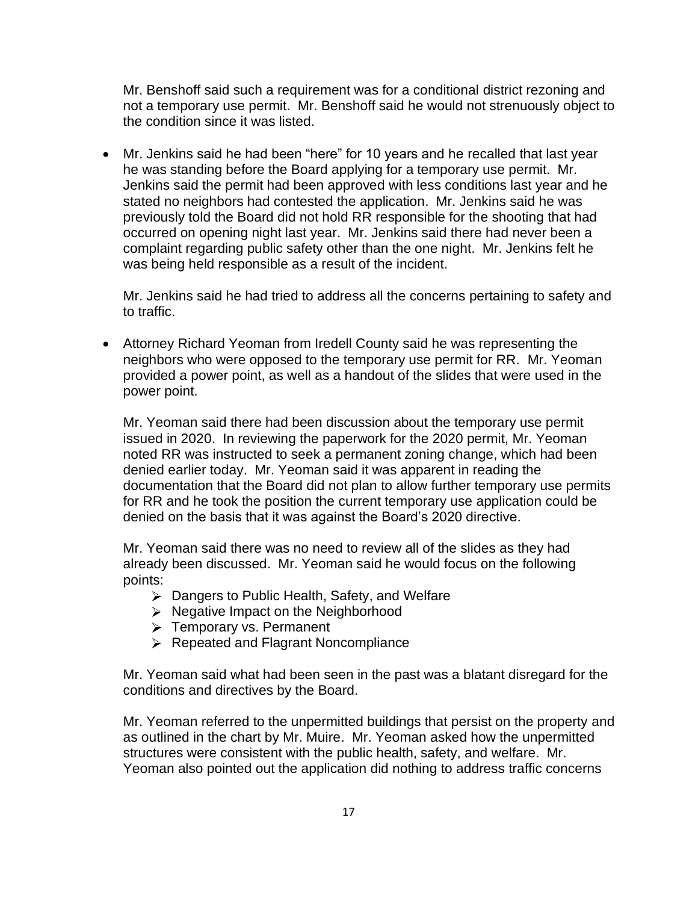Mr. Benshoff said such a requirement was for a conditional district rezoning and not a temporary use permit. Mr. Benshoff said he would not strenuously object to the condition since it was listed.

• Mr. Jenkins said he had been "here" for 10 years and he recalled that last year he was standing before the Board applying for a temporary use permit. Mr. Jenkins said the permit had been approved with less conditions last year and he stated no neighbors had contested the application. Mr. Jenkins said he was previously told the Board did not hold RR responsible for the shooting that had occurred on opening night last year. Mr. Jenkins said there had never been a complaint regarding public safety other than the one night. Mr. Jenkins felt he was being held responsible as a result of the incident.

Mr. Jenkins said he had tried to address all the concerns pertaining to safety and to traffic.

• Attorney Richard Yeoman from Iredell County said he was representing the neighbors who were opposed to the temporary use permit for RR. Mr. Yeoman provided a power point, as well as a handout of the slides that were used in the power point.

Mr. Yeoman said there had been discussion about the temporary use permit issued in 2020. In reviewing the paperwork for the 2020 permit, Mr. Yeoman noted RR was instructed to seek a permanent zoning change, which had been denied earlier today. Mr. Yeoman said it was apparent in reading the documentation that the Board did not plan to allow further temporary use permits for RR and he took the position the current temporary use application could be denied on the basis that it was against the Board's 2020 directive.

Mr. Yeoman said there was no need to review all of the slides as they had already been discussed. Mr. Yeoman said he would focus on the following points:

- Dangers to Public Health, Safety, and Welfare
- $\triangleright$  Negative Impact on the Neighborhood
- $\triangleright$  Temporary vs. Permanent
- $\triangleright$  Repeated and Flagrant Noncompliance

Mr. Yeoman said what had been seen in the past was a blatant disregard for the conditions and directives by the Board.

Mr. Yeoman referred to the unpermitted buildings that persist on the property and as outlined in the chart by Mr. Muire. Mr. Yeoman asked how the unpermitted structures were consistent with the public health, safety, and welfare. Mr. Yeoman also pointed out the application did nothing to address traffic concerns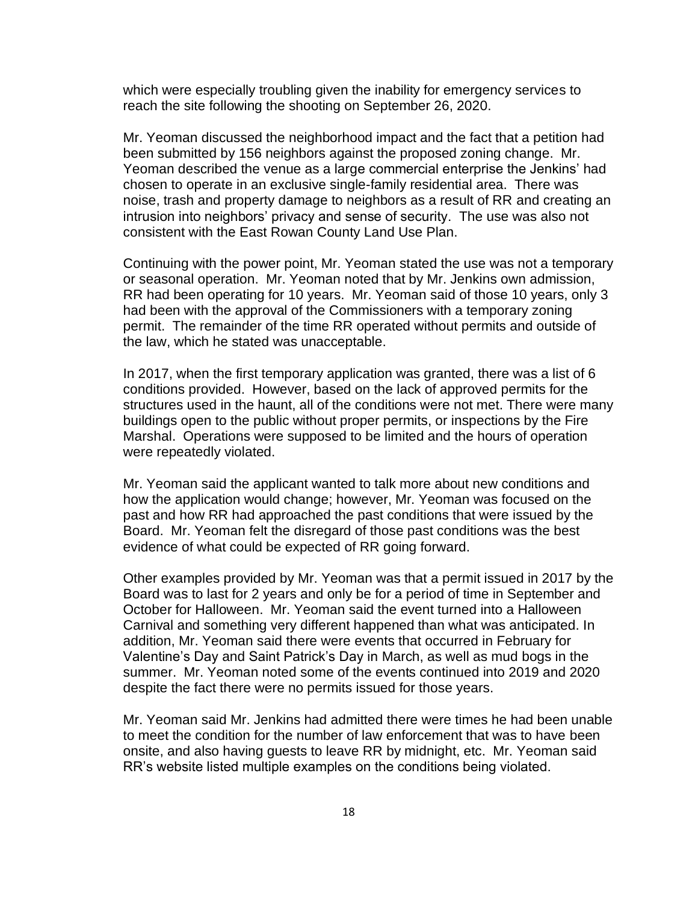which were especially troubling given the inability for emergency services to reach the site following the shooting on September 26, 2020.

Mr. Yeoman discussed the neighborhood impact and the fact that a petition had been submitted by 156 neighbors against the proposed zoning change. Mr. Yeoman described the venue as a large commercial enterprise the Jenkins' had chosen to operate in an exclusive single-family residential area. There was noise, trash and property damage to neighbors as a result of RR and creating an intrusion into neighbors' privacy and sense of security. The use was also not consistent with the East Rowan County Land Use Plan.

Continuing with the power point, Mr. Yeoman stated the use was not a temporary or seasonal operation. Mr. Yeoman noted that by Mr. Jenkins own admission, RR had been operating for 10 years. Mr. Yeoman said of those 10 years, only 3 had been with the approval of the Commissioners with a temporary zoning permit. The remainder of the time RR operated without permits and outside of the law, which he stated was unacceptable.

In 2017, when the first temporary application was granted, there was a list of 6 conditions provided. However, based on the lack of approved permits for the structures used in the haunt, all of the conditions were not met. There were many buildings open to the public without proper permits, or inspections by the Fire Marshal. Operations were supposed to be limited and the hours of operation were repeatedly violated.

Mr. Yeoman said the applicant wanted to talk more about new conditions and how the application would change; however, Mr. Yeoman was focused on the past and how RR had approached the past conditions that were issued by the Board. Mr. Yeoman felt the disregard of those past conditions was the best evidence of what could be expected of RR going forward.

Other examples provided by Mr. Yeoman was that a permit issued in 2017 by the Board was to last for 2 years and only be for a period of time in September and October for Halloween. Mr. Yeoman said the event turned into a Halloween Carnival and something very different happened than what was anticipated. In addition, Mr. Yeoman said there were events that occurred in February for Valentine's Day and Saint Patrick's Day in March, as well as mud bogs in the summer. Mr. Yeoman noted some of the events continued into 2019 and 2020 despite the fact there were no permits issued for those years.

Mr. Yeoman said Mr. Jenkins had admitted there were times he had been unable to meet the condition for the number of law enforcement that was to have been onsite, and also having guests to leave RR by midnight, etc. Mr. Yeoman said RR's website listed multiple examples on the conditions being violated.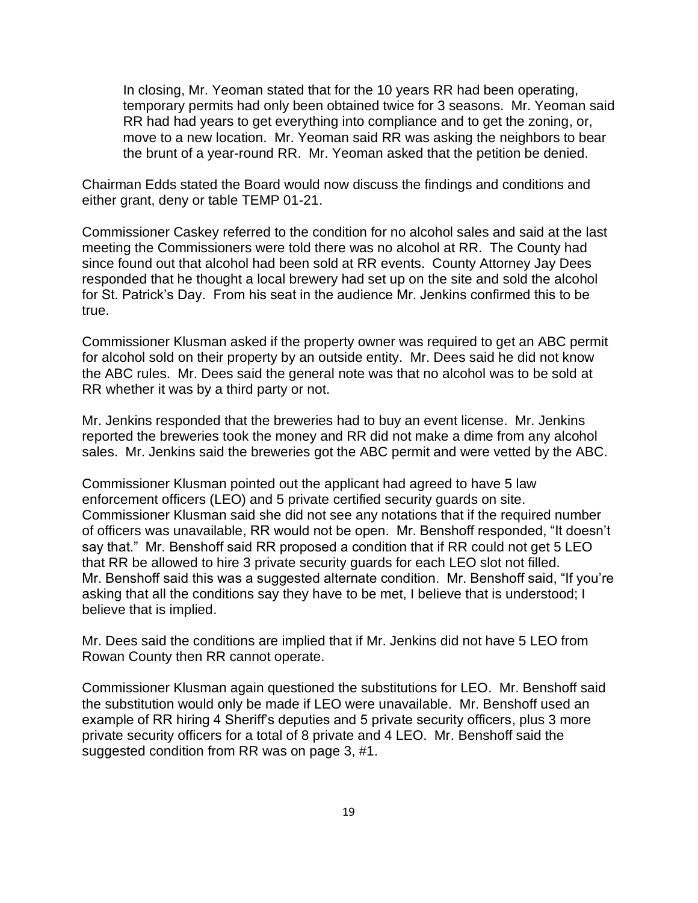In closing, Mr. Yeoman stated that for the 10 years RR had been operating, temporary permits had only been obtained twice for 3 seasons. Mr. Yeoman said RR had had years to get everything into compliance and to get the zoning, or, move to a new location. Mr. Yeoman said RR was asking the neighbors to bear the brunt of a year-round RR. Mr. Yeoman asked that the petition be denied.

Chairman Edds stated the Board would now discuss the findings and conditions and either grant, deny or table TEMP 01-21.

Commissioner Caskey referred to the condition for no alcohol sales and said at the last meeting the Commissioners were told there was no alcohol at RR. The County had since found out that alcohol had been sold at RR events. County Attorney Jay Dees responded that he thought a local brewery had set up on the site and sold the alcohol for St. Patrick's Day. From his seat in the audience Mr. Jenkins confirmed this to be true.

Commissioner Klusman asked if the property owner was required to get an ABC permit for alcohol sold on their property by an outside entity. Mr. Dees said he did not know the ABC rules. Mr. Dees said the general note was that no alcohol was to be sold at RR whether it was by a third party or not.

Mr. Jenkins responded that the breweries had to buy an event license. Mr. Jenkins reported the breweries took the money and RR did not make a dime from any alcohol sales. Mr. Jenkins said the breweries got the ABC permit and were vetted by the ABC.

Commissioner Klusman pointed out the applicant had agreed to have 5 law enforcement officers (LEO) and 5 private certified security guards on site. Commissioner Klusman said she did not see any notations that if the required number of officers was unavailable, RR would not be open. Mr. Benshoff responded, "It doesn't say that." Mr. Benshoff said RR proposed a condition that if RR could not get 5 LEO that RR be allowed to hire 3 private security guards for each LEO slot not filled. Mr. Benshoff said this was a suggested alternate condition. Mr. Benshoff said, "If you're asking that all the conditions say they have to be met, I believe that is understood; I believe that is implied.

Mr. Dees said the conditions are implied that if Mr. Jenkins did not have 5 LEO from Rowan County then RR cannot operate.

Commissioner Klusman again questioned the substitutions for LEO. Mr. Benshoff said the substitution would only be made if LEO were unavailable. Mr. Benshoff used an example of RR hiring 4 Sheriff's deputies and 5 private security officers, plus 3 more private security officers for a total of 8 private and 4 LEO. Mr. Benshoff said the suggested condition from RR was on page 3, #1.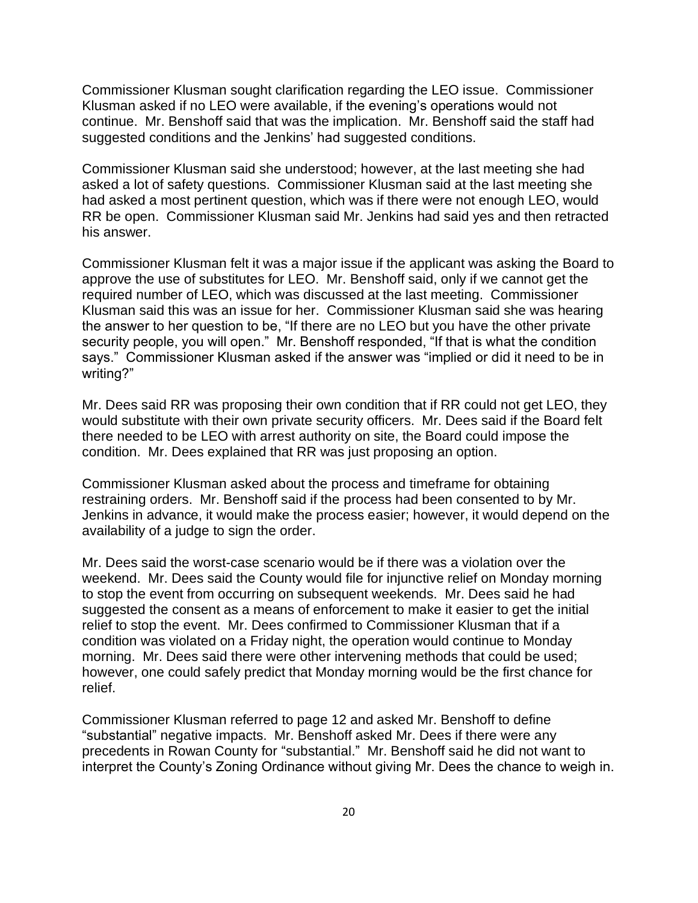Commissioner Klusman sought clarification regarding the LEO issue. Commissioner Klusman asked if no LEO were available, if the evening's operations would not continue. Mr. Benshoff said that was the implication. Mr. Benshoff said the staff had suggested conditions and the Jenkins' had suggested conditions.

Commissioner Klusman said she understood; however, at the last meeting she had asked a lot of safety questions. Commissioner Klusman said at the last meeting she had asked a most pertinent question, which was if there were not enough LEO, would RR be open. Commissioner Klusman said Mr. Jenkins had said yes and then retracted his answer.

Commissioner Klusman felt it was a major issue if the applicant was asking the Board to approve the use of substitutes for LEO. Mr. Benshoff said, only if we cannot get the required number of LEO, which was discussed at the last meeting. Commissioner Klusman said this was an issue for her. Commissioner Klusman said she was hearing the answer to her question to be, "If there are no LEO but you have the other private security people, you will open." Mr. Benshoff responded, "If that is what the condition says." Commissioner Klusman asked if the answer was "implied or did it need to be in writing?"

Mr. Dees said RR was proposing their own condition that if RR could not get LEO, they would substitute with their own private security officers. Mr. Dees said if the Board felt there needed to be LEO with arrest authority on site, the Board could impose the condition. Mr. Dees explained that RR was just proposing an option.

Commissioner Klusman asked about the process and timeframe for obtaining restraining orders. Mr. Benshoff said if the process had been consented to by Mr. Jenkins in advance, it would make the process easier; however, it would depend on the availability of a judge to sign the order.

Mr. Dees said the worst-case scenario would be if there was a violation over the weekend. Mr. Dees said the County would file for injunctive relief on Monday morning to stop the event from occurring on subsequent weekends. Mr. Dees said he had suggested the consent as a means of enforcement to make it easier to get the initial relief to stop the event. Mr. Dees confirmed to Commissioner Klusman that if a condition was violated on a Friday night, the operation would continue to Monday morning. Mr. Dees said there were other intervening methods that could be used; however, one could safely predict that Monday morning would be the first chance for relief.

Commissioner Klusman referred to page 12 and asked Mr. Benshoff to define "substantial" negative impacts. Mr. Benshoff asked Mr. Dees if there were any precedents in Rowan County for "substantial." Mr. Benshoff said he did not want to interpret the County's Zoning Ordinance without giving Mr. Dees the chance to weigh in.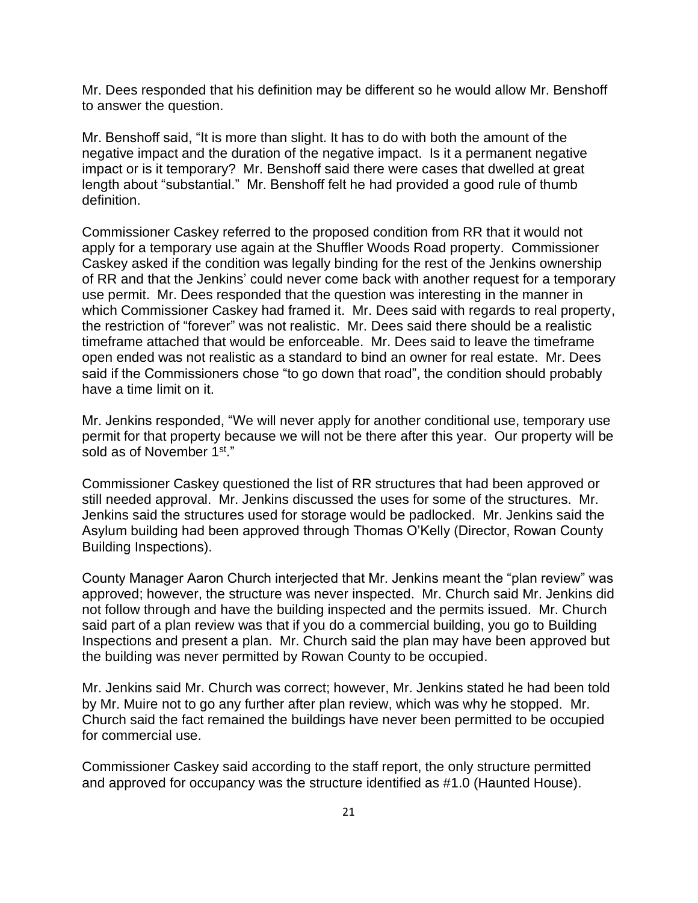Mr. Dees responded that his definition may be different so he would allow Mr. Benshoff to answer the question.

Mr. Benshoff said, "It is more than slight. It has to do with both the amount of the negative impact and the duration of the negative impact. Is it a permanent negative impact or is it temporary? Mr. Benshoff said there were cases that dwelled at great length about "substantial." Mr. Benshoff felt he had provided a good rule of thumb definition.

Commissioner Caskey referred to the proposed condition from RR that it would not apply for a temporary use again at the Shuffler Woods Road property. Commissioner Caskey asked if the condition was legally binding for the rest of the Jenkins ownership of RR and that the Jenkins' could never come back with another request for a temporary use permit. Mr. Dees responded that the question was interesting in the manner in which Commissioner Caskey had framed it. Mr. Dees said with regards to real property, the restriction of "forever" was not realistic. Mr. Dees said there should be a realistic timeframe attached that would be enforceable. Mr. Dees said to leave the timeframe open ended was not realistic as a standard to bind an owner for real estate. Mr. Dees said if the Commissioners chose "to go down that road", the condition should probably have a time limit on it.

Mr. Jenkins responded, "We will never apply for another conditional use, temporary use permit for that property because we will not be there after this year. Our property will be sold as of November 1st."

Commissioner Caskey questioned the list of RR structures that had been approved or still needed approval. Mr. Jenkins discussed the uses for some of the structures. Mr. Jenkins said the structures used for storage would be padlocked. Mr. Jenkins said the Asylum building had been approved through Thomas O'Kelly (Director, Rowan County Building Inspections).

County Manager Aaron Church interjected that Mr. Jenkins meant the "plan review" was approved; however, the structure was never inspected. Mr. Church said Mr. Jenkins did not follow through and have the building inspected and the permits issued. Mr. Church said part of a plan review was that if you do a commercial building, you go to Building Inspections and present a plan. Mr. Church said the plan may have been approved but the building was never permitted by Rowan County to be occupied.

Mr. Jenkins said Mr. Church was correct; however, Mr. Jenkins stated he had been told by Mr. Muire not to go any further after plan review, which was why he stopped. Mr. Church said the fact remained the buildings have never been permitted to be occupied for commercial use.

Commissioner Caskey said according to the staff report, the only structure permitted and approved for occupancy was the structure identified as #1.0 (Haunted House).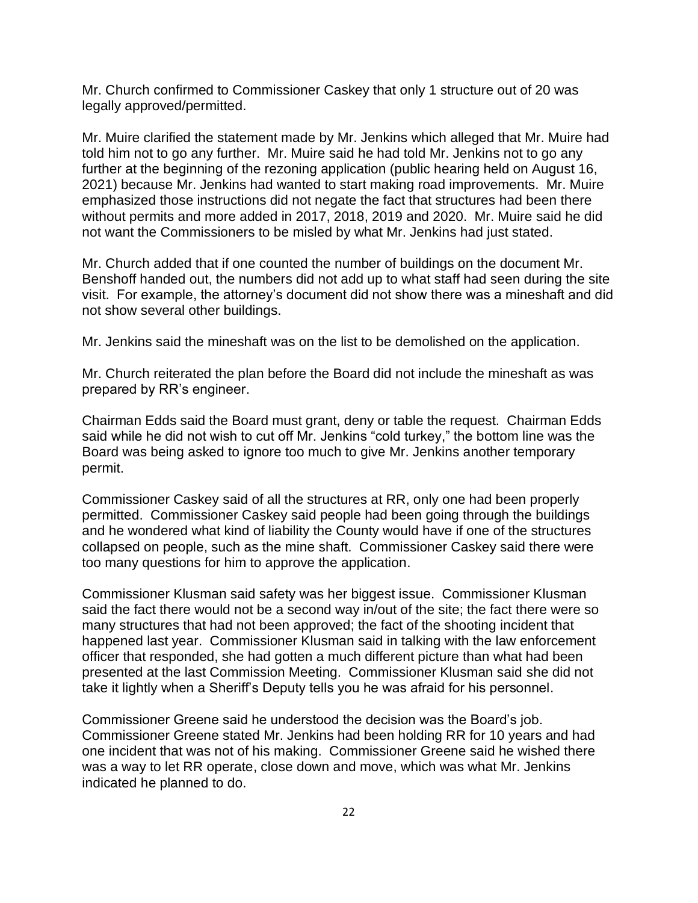Mr. Church confirmed to Commissioner Caskey that only 1 structure out of 20 was legally approved/permitted.

Mr. Muire clarified the statement made by Mr. Jenkins which alleged that Mr. Muire had told him not to go any further. Mr. Muire said he had told Mr. Jenkins not to go any further at the beginning of the rezoning application (public hearing held on August 16, 2021) because Mr. Jenkins had wanted to start making road improvements. Mr. Muire emphasized those instructions did not negate the fact that structures had been there without permits and more added in 2017, 2018, 2019 and 2020. Mr. Muire said he did not want the Commissioners to be misled by what Mr. Jenkins had just stated.

Mr. Church added that if one counted the number of buildings on the document Mr. Benshoff handed out, the numbers did not add up to what staff had seen during the site visit. For example, the attorney's document did not show there was a mineshaft and did not show several other buildings.

Mr. Jenkins said the mineshaft was on the list to be demolished on the application.

Mr. Church reiterated the plan before the Board did not include the mineshaft as was prepared by RR's engineer.

Chairman Edds said the Board must grant, deny or table the request. Chairman Edds said while he did not wish to cut off Mr. Jenkins "cold turkey," the bottom line was the Board was being asked to ignore too much to give Mr. Jenkins another temporary permit.

Commissioner Caskey said of all the structures at RR, only one had been properly permitted. Commissioner Caskey said people had been going through the buildings and he wondered what kind of liability the County would have if one of the structures collapsed on people, such as the mine shaft. Commissioner Caskey said there were too many questions for him to approve the application.

Commissioner Klusman said safety was her biggest issue. Commissioner Klusman said the fact there would not be a second way in/out of the site; the fact there were so many structures that had not been approved; the fact of the shooting incident that happened last year. Commissioner Klusman said in talking with the law enforcement officer that responded, she had gotten a much different picture than what had been presented at the last Commission Meeting. Commissioner Klusman said she did not take it lightly when a Sheriff's Deputy tells you he was afraid for his personnel.

Commissioner Greene said he understood the decision was the Board's job. Commissioner Greene stated Mr. Jenkins had been holding RR for 10 years and had one incident that was not of his making. Commissioner Greene said he wished there was a way to let RR operate, close down and move, which was what Mr. Jenkins indicated he planned to do.